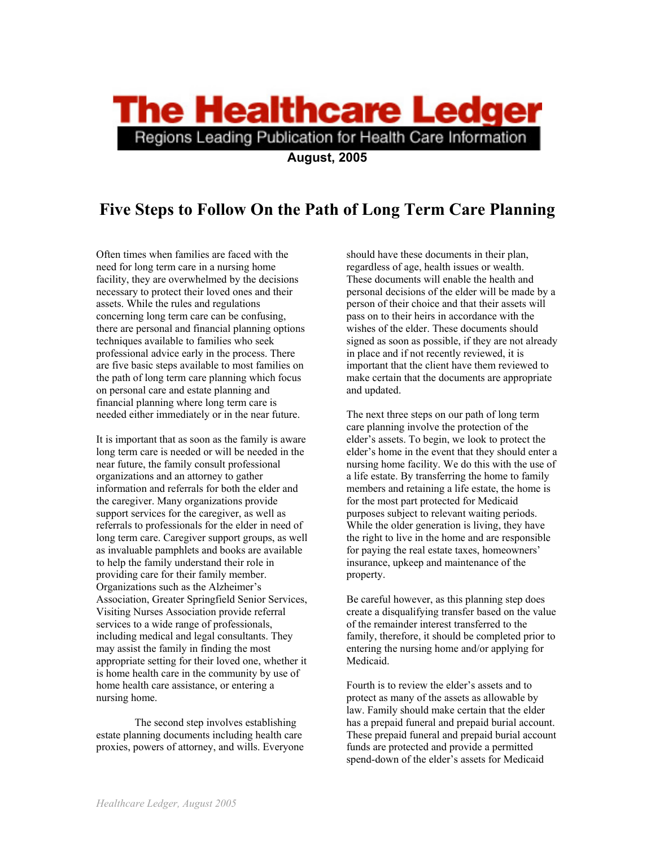## **The Healthcare Ledger** Regions Leading Publication for Health Care Information

**August, 2005** 

## **Five Steps to Follow On the Path of Long Term Care Planning**

Often times when families are faced with the need for long term care in a nursing home facility, they are overwhelmed by the decisions necessary to protect their loved ones and their assets. While the rules and regulations concerning long term care can be confusing, there are personal and financial planning options techniques available to families who seek professional advice early in the process. There are five basic steps available to most families on the path of long term care planning which focus on personal care and estate planning and financial planning where long term care is needed either immediately or in the near future.

It is important that as soon as the family is aware long term care is needed or will be needed in the near future, the family consult professional organizations and an attorney to gather information and referrals for both the elder and the caregiver. Many organizations provide support services for the caregiver, as well as referrals to professionals for the elder in need of long term care. Caregiver support groups, as well as invaluable pamphlets and books are available to help the family understand their role in providing care for their family member. Organizations such as the Alzheimer's Association, Greater Springfield Senior Services, Visiting Nurses Association provide referral services to a wide range of professionals, including medical and legal consultants. They may assist the family in finding the most appropriate setting for their loved one, whether it is home health care in the community by use of home health care assistance, or entering a nursing home.

The second step involves establishing estate planning documents including health care proxies, powers of attorney, and wills. Everyone

should have these documents in their plan, regardless of age, health issues or wealth. These documents will enable the health and personal decisions of the elder will be made by a person of their choice and that their assets will pass on to their heirs in accordance with the wishes of the elder. These documents should signed as soon as possible, if they are not already in place and if not recently reviewed, it is important that the client have them reviewed to make certain that the documents are appropriate and updated.

The next three steps on our path of long term care planning involve the protection of the elder's assets. To begin, we look to protect the elder's home in the event that they should enter a nursing home facility. We do this with the use of a life estate. By transferring the home to family members and retaining a life estate, the home is for the most part protected for Medicaid purposes subject to relevant waiting periods. While the older generation is living, they have the right to live in the home and are responsible for paying the real estate taxes, homeowners' insurance, upkeep and maintenance of the property.

Be careful however, as this planning step does create a disqualifying transfer based on the value of the remainder interest transferred to the family, therefore, it should be completed prior to entering the nursing home and/or applying for Medicaid.

Fourth is to review the elder's assets and to protect as many of the assets as allowable by law. Family should make certain that the elder has a prepaid funeral and prepaid burial account. These prepaid funeral and prepaid burial account funds are protected and provide a permitted spend-down of the elder's assets for Medicaid